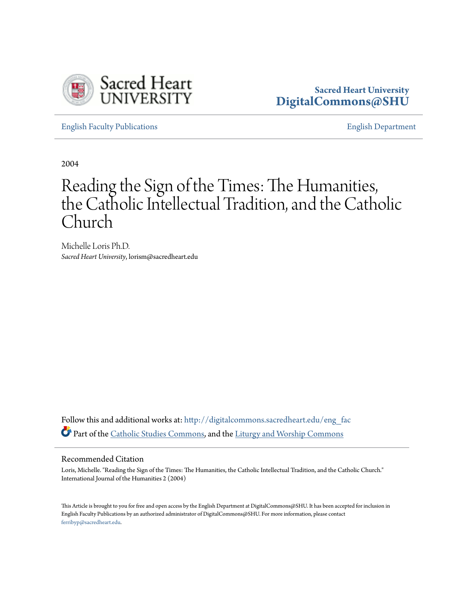

### **Sacred Heart University [DigitalCommons@SHU](http://digitalcommons.sacredheart.edu?utm_source=digitalcommons.sacredheart.edu%2Feng_fac%2F2&utm_medium=PDF&utm_campaign=PDFCoverPages)**

[English Faculty Publications](http://digitalcommons.sacredheart.edu/eng_fac?utm_source=digitalcommons.sacredheart.edu%2Feng_fac%2F2&utm_medium=PDF&utm_campaign=PDFCoverPages) [English Department](http://digitalcommons.sacredheart.edu/eng?utm_source=digitalcommons.sacredheart.edu%2Feng_fac%2F2&utm_medium=PDF&utm_campaign=PDFCoverPages)

2004

# Reading the Sign of the Times: The Humanities, the Catholic Intellectual Tradition, and the Catholic Church

Michelle Loris Ph.D. *Sacred Heart University*, lorism@sacredheart.edu

Follow this and additional works at: [http://digitalcommons.sacredheart.edu/eng\\_fac](http://digitalcommons.sacredheart.edu/eng_fac?utm_source=digitalcommons.sacredheart.edu%2Feng_fac%2F2&utm_medium=PDF&utm_campaign=PDFCoverPages) Part of the [Catholic Studies Commons,](http://network.bepress.com/hgg/discipline/1294?utm_source=digitalcommons.sacredheart.edu%2Feng_fac%2F2&utm_medium=PDF&utm_campaign=PDFCoverPages) and the [Liturgy and Worship Commons](http://network.bepress.com/hgg/discipline/1188?utm_source=digitalcommons.sacredheart.edu%2Feng_fac%2F2&utm_medium=PDF&utm_campaign=PDFCoverPages)

#### Recommended Citation

Loris, Michelle. "Reading the Sign of the Times: The Humanities, the Catholic Intellectual Tradition, and the Catholic Church." International Journal of the Humanities 2 (2004)

This Article is brought to you for free and open access by the English Department at DigitalCommons@SHU. It has been accepted for inclusion in English Faculty Publications by an authorized administrator of DigitalCommons@SHU. For more information, please contact [ferribyp@sacredheart.edu](mailto:ferribyp@sacredheart.edu).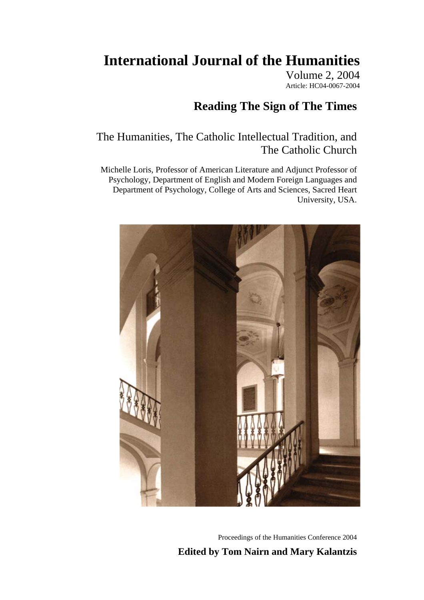# **International Journal of the Humanities**

Volume 2, 2004 Article: HC04-0067-2004

## **Reading The Sign of The Times**

### The Humanities, The Catholic Intellectual Tradition, and The Catholic Church

Michelle Loris, Professor of American Literature and Adjunct Professor of Psychology, Department of English and Modern Foreign Languages and Department of Psychology, College of Arts and Sciences, Sacred Heart University, USA.



Proceedings of the Humanities Conference 2004 **Edited by Tom Nairn and Mary Kalantzis**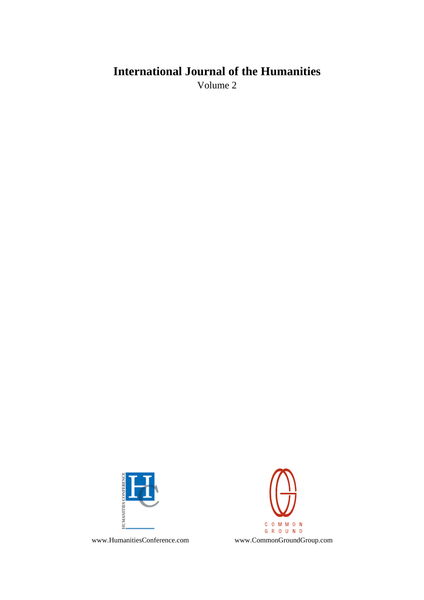# **International Journal of the Humanities**

Volume 2



C O M M O N G R O U N D

www.HumanitiesConference.com www.CommonGroundGroup.com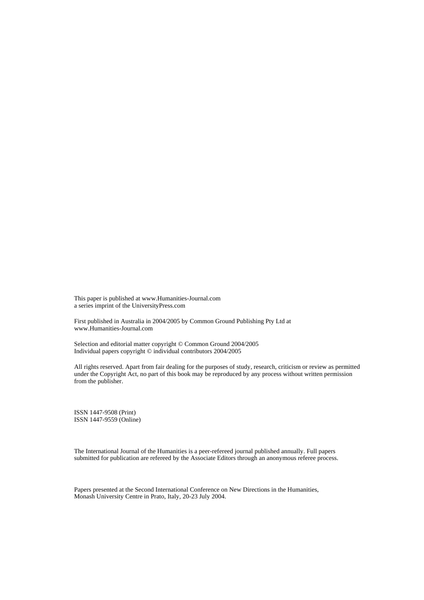This paper is published at www.Humanities-Journal.com a series imprint of the UniversityPress.com

First published in Australia in 2004/2005 by Common Ground Publishing Pty Ltd at www.Humanities-Journal.com

Selection and editorial matter copyright © Common Ground 2004/2005 Individual papers copyright © individual contributors 2004/2005

All rights reserved. Apart from fair dealing for the purposes of study, research, criticism or review as permitted under the Copyright Act, no part of this book may be reproduced by any process without written permission from the publisher.

ISSN 1447-9508 (Print) ISSN 1447-9559 (Online)

The International Journal of the Humanities is a peer-refereed journal published annually. Full papers submitted for publication are refereed by the Associate Editors through an anonymous referee process.

Papers presented at the Second International Conference on New Directions in the Humanities, Monash University Centre in Prato, Italy, 20-23 July 2004.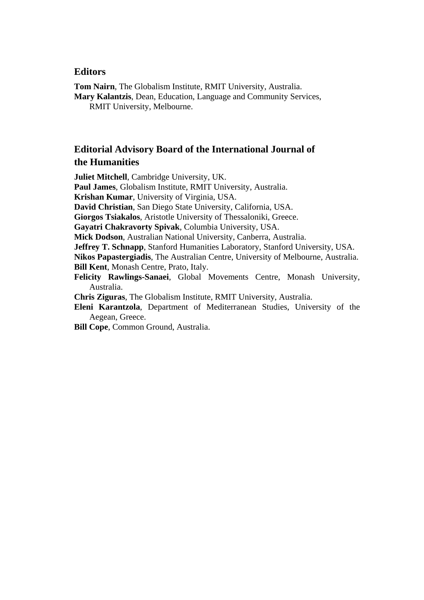### **Editors**

**Tom Nairn**, The Globalism Institute, RMIT University, Australia. **Mary Kalantzis**, Dean, Education, Language and Community Services, RMIT University, Melbourne.

### **Editorial Advisory Board of the International Journal of the Humanities**

**Juliet Mitchell**, Cambridge University, UK.

**Paul James**, Globalism Institute, RMIT University, Australia.

**Krishan Kumar**, University of Virginia, USA.

**David Christian**, San Diego State University, California, USA.

**Giorgos Tsiakalos**, Aristotle University of Thessaloniki, Greece.

**Gayatri Chakravorty Spivak**, Columbia University, USA.

**Mick Dodson**, Australian National University, Canberra, Australia.

**Jeffrey T. Schnapp**, Stanford Humanities Laboratory, Stanford University, USA.

**Nikos Papastergiadis**, The Australian Centre, University of Melbourne, Australia. **Bill Kent**, Monash Centre, Prato, Italy.

- **Felicity Rawlings-Sanaei**, Global Movements Centre, Monash University, Australia.
- **Chris Ziguras**, The Globalism Institute, RMIT University, Australia.
- **Eleni Karantzola**, Department of Mediterranean Studies, University of the Aegean, Greece.

**Bill Cope**, Common Ground, Australia.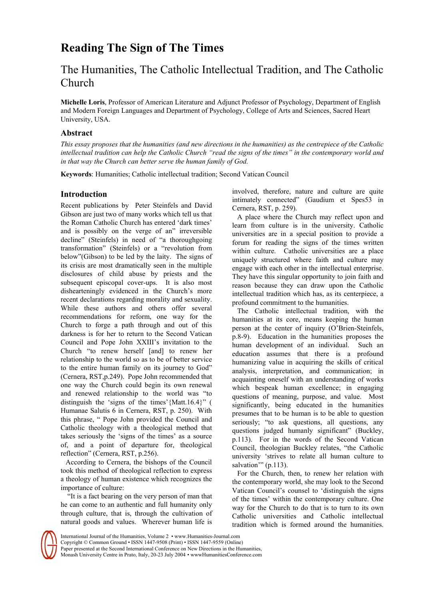## **Reading The Sign of The Times**

### The Humanities, The Catholic Intellectual Tradition, and The Catholic Church

**Michelle Loris**, Professor of American Literature and Adjunct Professor of Psychology, Department of English and Modern Foreign Languages and Department of Psychology, College of Arts and Sciences, Sacred Heart University, USA.

### **Abstract**

*This essay proposes that the humanities (and new directions in the humanities) as the centrepiece of the Catholic intellectual tradition can help the Catholic Church "read the signs of the times" in the contemporary world and in that way the Church can better serve the human family of God.* 

**Keywords**: Humanities; Catholic intellectual tradition; Second Vatican Council

### **Introduction**

Recent publications by Peter Steinfels and David Gibson are just two of many works which tell us that the Roman Catholic Church has entered 'dark times' and is possibly on the verge of an" irreversible decline" (Steinfels) in need of "a thoroughgoing transformation" (Steinfels) or a "revolution from below"(Gibson) to be led by the laity. The signs of its crisis are most dramatically seen in the multiple disclosures of child abuse by priests and the subsequent episcopal cover-ups. It is also most dishearteningly evidenced in the Church's more recent declarations regarding morality and sexuality. While these authors and others offer several recommendations for reform, one way for the Church to forge a path through and out of this darkness is for her to return to the Second Vatican Council and Pope John XXIII's invitation to the Church "to renew herself [and] to renew her relationship to the world so as to be of better service to the entire human family on its journey to God" (Cernera, RST,p.249). Pope John recommended that one way the Church could begin its own renewal and renewed relationship to the world was "to distinguish the 'signs of the times'{Matt.16.4}" ( Humanae Salutis 6 in Cernera, RST, p. 250). With this phrase, " Pope John provided the Council and Catholic theology with a theological method that takes seriously the 'signs of the times' as a source of, and a point of departure for, theological reflection" (Cernera, RST, p.256).

According to Cernera, the bishops of the Council took this method of theological reflection to express a theology of human existence which recognizes the importance of culture:

 "It is a fact bearing on the very person of man that he can come to an authentic and full humanity only through culture, that is, through the cultivation of natural goods and values. Wherever human life is

involved, therefore, nature and culture are quite intimately connected" (Gaudium et Spes53 in Cernera, RST, p. 259).

A place where the Church may reflect upon and learn from culture is in the university. Catholic universities are in a special position to provide a forum for reading the signs of the times written within culture. Catholic universities are a place uniquely structured where faith and culture may engage with each other in the intellectual enterprise. They have this singular opportunity to join faith and reason because they can draw upon the Catholic intellectual tradition which has, as its centerpiece, a profound commitment to the humanities.

The Catholic intellectual tradition, with the humanities at its core, means keeping the human person at the center of inquiry (O'Brien-Steinfels, p.8-9). Education in the humanities proposes the human development of an individual. Such an education assumes that there is a profound humanizing value in acquiring the skills of critical analysis, interpretation, and communication; in acquainting oneself with an understanding of works which bespeak human excellence; in engaging questions of meaning, purpose, and value. Most significantly, being educated in the humanities presumes that to be human is to be able to question seriously; "to ask questions, all questions, any questions judged humanly significant" (Buckley, p.113). For in the words of the Second Vatican Council, theologian Buckley relates, "the Catholic university 'strives to relate all human culture to salvation'" (p.113).

For the Church, then, to renew her relation with the contemporary world, she may look to the Second Vatican Council's counsel to 'distinguish the signs of the times' within the contemporary culture. One way for the Church to do that is to turn to its own Catholic universities and Catholic intellectual tradition which is formed around the humanities.

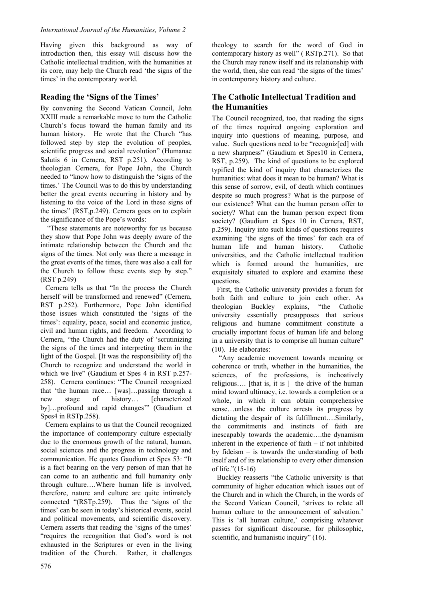Having given this background as way of introduction then, this essay will discuss how the Catholic intellectual tradition, with the humanities at its core, may help the Church read 'the signs of the times' in the contemporary world.

### **Reading the 'Signs of the Times'**

By convening the Second Vatican Council, John XXIII made a remarkable move to turn the Catholic Church's focus toward the human family and its human history. He wrote that the Church "has followed step by step the evolution of peoples, scientific progress and social revolution" (Humanae Salutis 6 in Cernera, RST p.251). According to theologian Cernera, for Pope John, the Church needed to "know how to distinguish the 'signs of the times.' The Council was to do this by understanding better the great events occurring in history and by listening to the voice of the Lord in these signs of the times" (RST,p.249). Cernera goes on to explain the significance of the Pope's words:

 "These statements are noteworthy for us because they show that Pope John was deeply aware of the intimate relationship between the Church and the signs of the times. Not only was there a message in the great events of the times, there was also a call for the Church to follow these events step by step." (RST p.249)

Cernera tells us that "In the process the Church herself will be transformed and renewed" (Cernera, RST p.252). Furthermore, Pope John identified those issues which constituted the 'signs of the times': equality, peace, social and economic justice, civil and human rights, and freedom. According to Cernera, "the Church had the duty of 'scrutinizing the signs of the times and interpreting them in the light of the Gospel. [It was the responsibility of] the Church to recognize and understand the world in which we live" (Gaudium et Spes 4 in RST p.257- 258). Cernera continues: "The Council recognized that 'the human race… [was]…passing through a new stage of history… [characterized by]…profound and rapid changes'" (Gaudium et Spes4 in RSTp.258).

Cernera explains to us that the Council recognized the importance of contemporary culture especially due to the enormous growth of the natural, human, social sciences and the progress in technology and communication. He quotes Gaudium et Spes 53: "It is a fact bearing on the very person of man that he can come to an authentic and full humanity only through culture….Where human life is involved, therefore, nature and culture are quite intimately connected "(RSTp.259). Thus the 'signs of the times' can be seen in today's historical events, social and political movements, and scientific discovery. Cernera asserts that reading the 'signs of the times' "requires the recognition that God's word is not exhausted in the Scriptures or even in the living tradition of the Church. Rather, it challenges

theology to search for the word of God in contemporary history as well" ( RSTp.271). So that the Church may renew itself and its relationship with the world, then, she can read 'the signs of the times' in contemporary history and culture.

### **The Catholic Intellectual Tradition and the Humanities**

The Council recognized, too, that reading the signs of the times required ongoing exploration and inquiry into questions of meaning, purpose, and value. Such questions need to be "recogniz[ed] with a new sharpness" (Gaudium et Spes10 in Cernera, RST, p.259). The kind of questions to be explored typified the kind of inquiry that characterizes the humanities: what does it mean to be human? What is this sense of sorrow, evil, of death which continues despite so much progress? What is the purpose of our existence? What can the human person offer to society? What can the human person expect from society? (Gaudium et Spes 10 in Cernera, RST, p.259). Inquiry into such kinds of questions requires examining 'the signs of the times' for each era of human life and human history. Catholic universities, and the Catholic intellectual tradition which is formed around the humanities, are exquisitely situated to explore and examine these questions.

First, the Catholic university provides a forum for both faith and culture to join each other. As theologian Buckley explains, "the Catholic university essentially presupposes that serious religious and humane commitment constitute a crucially important focus of human life and belong in a university that is to comprise all human culture" (10). He elaborates:

 "Any academic movement towards meaning or coherence or truth, whether in the humanities, the sciences, of the professions, is inchoatively religious…. [that is, it is ] the drive of the human mind toward ultimacy, i.e. towards a completion or a whole, in which it can obtain comprehensive sense…unless the culture arrests its progress by dictating the despair of its fulfillment….Similarly, the commitments and instincts of faith are inescapably towards the academic….the dynamism inherent in the experience of faith – if not inhibited by fideism – is towards the understanding of both itself and of its relationship to every other dimension of life."(15-16)

Buckley reasserts "the Catholic university is that community of higher education which issues out of the Church and in which the Church, in the words of the Second Vatican Council, 'strives to relate all human culture to the announcement of salvation.' This is 'all human culture,' comprising whatever passes for significant discourse, for philosophic, scientific, and humanistic inquiry" (16).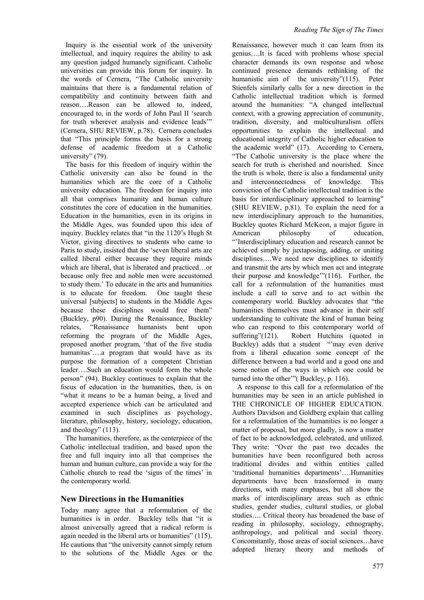Inquiry is the essential work of the university intellectual, and inquiry requires the ability to ask any question judged humanely significant. Catholic universities can provide this forum for inquiry. In the words of Cernera, "The Catholic university maintains that there is a fundamental relation of compatibility and continuity between faith and reason….Reason can be allowed to, indeed, encouraged to, in the words of John Paul II 'search for truth wherever analysis and evidence leads'" (Cernera, SHU REVIEW, p.78). Cernera concludes that "This principle forms the basis for a strong defense of academic freedom at a Catholic university" (79).

The basis for this freedom of inquiry within the Catholic university can also be found in the humanities which are the core of a Catholic university education. The freedom for inquiry into all that comprises humanity and human culture constitutes the core of education in the humanities. Education in the humanities, even in its origins in the Middle Ages, was founded upon this idea of inquiry. Buckley relates that "in the 1120's Hugh St Victor, giving directives to students who came to Paris to study, insisted that the 'seven liberal arts are called liberal either because they require minds which are liberal, that is liberated and practiced…or because only free and noble men were accustomed to study them.' To educate in the arts and humanities is to educate for freedom. One taught these universal [subjects] to students in the Middle Ages because these disciplines would free them" (Buckley, p90). During the Renaissance, Buckley relates, "Renaissance humanists bent upon reforming the program of the Middle Ages, proposed another program, 'that of the five studia humanitas'....a program that would have as its purpose the formation of a competent Christian leader….Such an education would form the whole person" (94). Buckley continues to explain that the focus of education in the humanities, then, is on "what it means to be a human being, a lived and accepted experience which can be articulated and examined in such disciplines as psychology, literature, philosophy, history, sociology, education, and theology" (113).

The humanities, therefore, as the centerpiece of the Catholic intellectual tradition, and based upon the free and full inquiry into all that comprises the human and human culture, can provide a way for the Catholic church to read the 'signs of the times' in the contemporary world.

#### **New Directions in the Humanities**

Today many agree that a reformulation of the humanities is in order. Buckley tells that "it is almost universally agreed that a radical reform is again needed in the liberal arts or humanities" (115). He cautions that "the university cannot simply return to the solutions of the Middle Ages or the

Renaissance, however much it can learn from its genius….It is faced with problems whose special character demands its own response and whose continued presence demands rethinking of the humanistic aim of the university"(115). Peter Stienfels similarly calls for a new direction in the Catholic intellectual tradition which is formed around the humanities: "A changed intellectual context, with a growing appreciation of community, tradition, diversity, and multiculturalism offers opportunities to explain the intellectual and educational integrity of Catholic higher education to the academic world" (17). According to Cernera, "The Catholic university is the place where the search for truth is cherished and nourished. Since the truth is whole, there is also a fundamental unity and interconnectedness of knowledge. This conviction of the Catholic intellectual tradition is the basis for interdisciplinary approached to learning" (SHU REVIEW, p.81). To explain the need for a new interdisciplinary approach to the humanities, Buckley quotes Richard McKeon, a major figure in American philosophy of education, "'Interdisciplinary education and research cannot be achieved simply by juxtaposing, adding, or uniting disciplines….We need new disciplines to identify and transmit the arts by which men act and integrate their purpose and knowledge'"(116). Further, the call for a reformulation of the humanities must include a call to serve and to act within the contemporary world. Buckley advocates that "the humanities themselves must advance in their self understanding to cultivate the kind of human being who can respond to this contemporary world of suffering"(121). Robert Hutchins (quoted in Buckley) adds that a student "may even derive from a liberal education some concept of the difference between a bad world and a good one and some notion of the ways in which one could be turned into the other'"( Buckley, p. 116).

A response to this call for a reformulation of the humanities may be seen in an article published in THE CHRONICLE OF HIGHER EDUCATION. Authors Davidson and Goldberg explain that calling for a reformulation of the humanities is no longer a matter of proposal, but more gladly, is now a matter of fact to be acknowledged, celebrated, and utilized. They write: "Over the past two decades the humanities have been reconfigured both across traditional divides and within entities called 'traditional humanities departments'….Humanities departments have been transformed in many directions, with many emphases, but all show the marks of interdisciplinary areas such as ethnic studies, gender studies, cultural studies, or global studies…. Critical theory has broadened the base of reading in philosophy, sociology, ethnography, anthropology, and political and social theory. Concomitantly, those areas of social sciences…have adopted literary theory and methods of